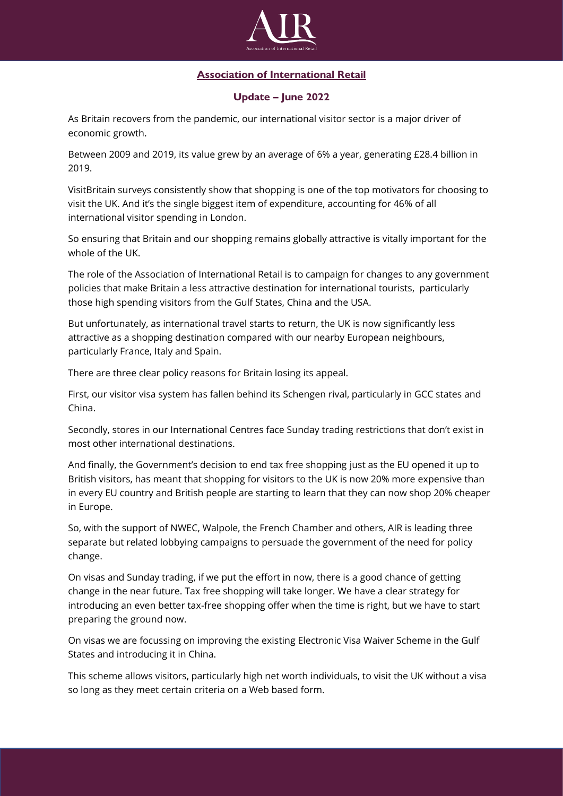

## **Association of International Retail**

## **Update – June 2022**

As Britain recovers from the pandemic, our international visitor sector is a major driver of economic growth.

Between 2009 and 2019, its value grew by an average of 6% a year, generating £28.4 billion in 2019.

VisitBritain surveys consistently show that shopping is one of the top motivators for choosing to visit the UK. And it's the single biggest item of expenditure, accounting for 46% of all international visitor spending in London.

So ensuring that Britain and our shopping remains globally attractive is vitally important for the whole of the UK.

The role of the Association of International Retail is to campaign for changes to any government policies that make Britain a less attractive destination for international tourists, particularly those high spending visitors from the Gulf States, China and the USA.

But unfortunately, as international travel starts to return, the UK is now significantly less attractive as a shopping destination compared with our nearby European neighbours, particularly France, Italy and Spain.

There are three clear policy reasons for Britain losing its appeal.

First, our visitor visa system has fallen behind its Schengen rival, particularly in GCC states and China.

Secondly, stores in our International Centres face Sunday trading restrictions that don't exist in most other international destinations.

And finally, the Government's decision to end tax free shopping just as the EU opened it up to British visitors, has meant that shopping for visitors to the UK is now 20% more expensive than in every EU country and British people are starting to learn that they can now shop 20% cheaper in Europe.

So, with the support of NWEC, Walpole, the French Chamber and others, AIR is leading three separate but related lobbying campaigns to persuade the government of the need for policy change.

On visas and Sunday trading, if we put the effort in now, there is a good chance of getting change in the near future. Tax free shopping will take longer. We have a clear strategy for introducing an even better tax-free shopping offer when the time is right, but we have to start preparing the ground now.

On visas we are focussing on improving the existing Electronic Visa Waiver Scheme in the Gulf States and introducing it in China.

This scheme allows visitors, particularly high net worth individuals, to visit the UK without a visa so long as they meet certain criteria on a Web based form.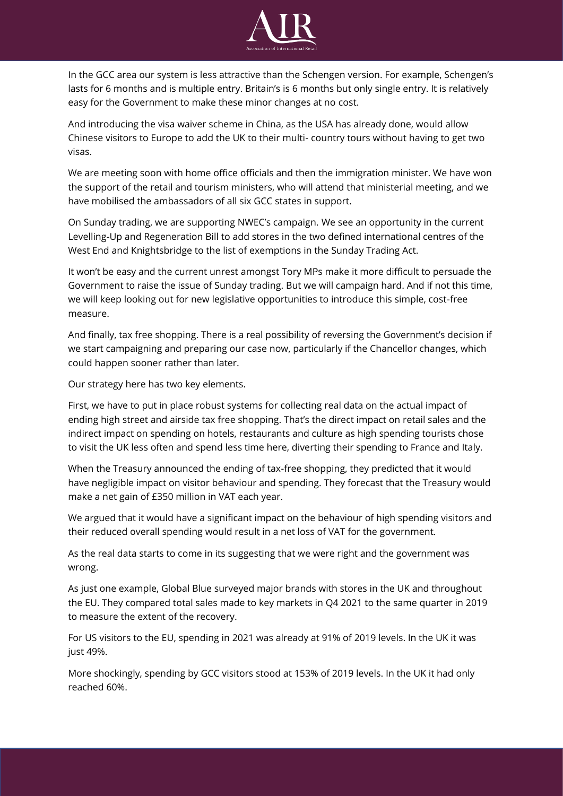

In the GCC area our system is less attractive than the Schengen version. For example, Schengen's lasts for 6 months and is multiple entry. Britain's is 6 months but only single entry. It is relatively easy for the Government to make these minor changes at no cost.

And introducing the visa waiver scheme in China, as the USA has already done, would allow Chinese visitors to Europe to add the UK to their multi- country tours without having to get two visas.

We are meeting soon with home office officials and then the immigration minister. We have won the support of the retail and tourism ministers, who will attend that ministerial meeting, and we have mobilised the ambassadors of all six GCC states in support.

On Sunday trading, we are supporting NWEC's campaign. We see an opportunity in the current Levelling-Up and Regeneration Bill to add stores in the two defined international centres of the West End and Knightsbridge to the list of exemptions in the Sunday Trading Act.

It won't be easy and the current unrest amongst Tory MPs make it more difficult to persuade the Government to raise the issue of Sunday trading. But we will campaign hard. And if not this time, we will keep looking out for new legislative opportunities to introduce this simple, cost-free measure.

And finally, tax free shopping. There is a real possibility of reversing the Government's decision if we start campaigning and preparing our case now, particularly if the Chancellor changes, which could happen sooner rather than later.

Our strategy here has two key elements.

First, we have to put in place robust systems for collecting real data on the actual impact of ending high street and airside tax free shopping. That's the direct impact on retail sales and the indirect impact on spending on hotels, restaurants and culture as high spending tourists chose to visit the UK less often and spend less time here, diverting their spending to France and Italy.

When the Treasury announced the ending of tax-free shopping, they predicted that it would have negligible impact on visitor behaviour and spending. They forecast that the Treasury would make a net gain of £350 million in VAT each year.

We argued that it would have a significant impact on the behaviour of high spending visitors and their reduced overall spending would result in a net loss of VAT for the government.

As the real data starts to come in its suggesting that we were right and the government was wrong.

As just one example, Global Blue surveyed major brands with stores in the UK and throughout the EU. They compared total sales made to key markets in Q4 2021 to the same quarter in 2019 to measure the extent of the recovery.

For US visitors to the EU, spending in 2021 was already at 91% of 2019 levels. In the UK it was just 49%.

More shockingly, spending by GCC visitors stood at 153% of 2019 levels. In the UK it had only reached 60%.